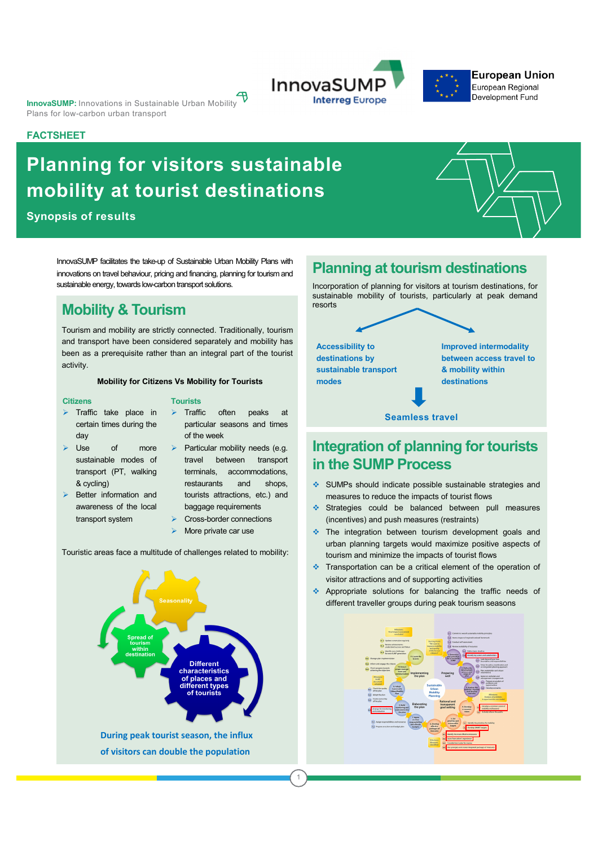**InnovaSUMP:** Innovations in Sustainable Urban Mobility Plans for low-carbon urban transport

#### **FACTSHEET**

# **Planning for visitors sustainable mobility at tourist destinations**

**Synopsis of results**

InnovaSUMP facilitates the take-up of Sustainable Urban Mobility Plans with innovations on travel behaviour, pricing and financing, planning for tourism and sustainable energy, towards low-carbon transport solutions.

### **Mobility & Tourism**

Tourism and mobility are strictly connected. Traditionally, tourism and transport have been considered separately and mobility has been as a prerequisite rather than an integral part of the tourist activity.

#### **Mobility for Citizens Vs Mobility for Tourists**

**Tourists**

#### **Citizens**

- $\triangleright$  Traffic take place in certain times during the day
- $\triangleright$  Use of more sustainable modes of transport (PT, walking & cycling)
- Better information and awareness of the local transport system
- $\triangleright$  Traffic often peaks at particular seasons and times of the week
- Particular mobility needs (e.g. travel between transport terminals, accommodations, restaurants and shops, tourists attractions, etc.) and baggage requirements

1

- Cross-border connections
- More private car use

Touristic areas face a multitude of challenges related to mobility:



### **Planning at tourism destinations**

Incorporation of planning for visitors at tourism destinations, for sustainable mobility of tourists, particularly at peak demand resorts

**Accessibility to destinations by sustainable transport modes**

**Improved intermodality between access travel to & mobility within destinations**

#### **Seamless travel**

## **Integration of planning for tourists in the SUMP Process**

- v SUMPs should indicate possible sustainable strategies and measures to reduce the impacts of tourist flows
- $\cdot$  Strategies could be balanced between pull measures (incentives) and push measures (restraints)
- $\cdot$  The integration between tourism development goals and urban planning targets would maximize positive aspects of tourism and minimize the impacts of tourist flows
- $\cdot$  Transportation can be a critical element of the operation of visitor attractions and of supporting activities
- $\triangleq$  Appropriate solutions for balancing the traffic needs of different traveller groups during peak tourism seasons